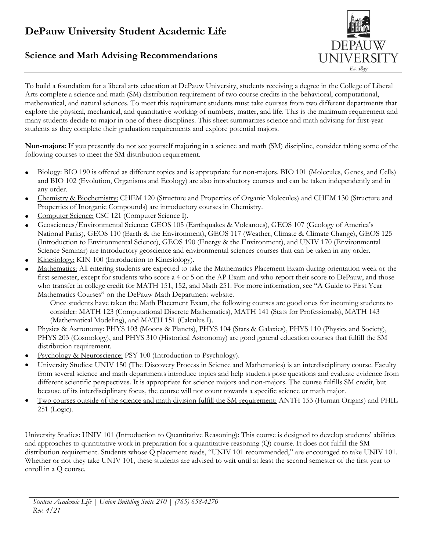## **DePauw University Student Academic Life**

## **Science and Math Advising Recommendations**



To build a foundation for a liberal arts education at DePauw University, students receiving a degree in the College of Liberal Arts complete a science and math (SM) distribution requirement of two course credits in the behavioral, computational, mathematical, and natural sciences. To meet this requirement students must take courses from two different departments that explore the physical, mechanical, and quantitative working of numbers, matter, and life. This is the minimum requirement and many students decide to major in one of these disciplines. This sheet summarizes science and math advising for first-year students as they complete their graduation requirements and explore potential majors.

**Non-majors:** If you presently do not see yourself majoring in a science and math (SM) discipline, consider taking some of the following courses to meet the SM distribution requirement.

- $\bullet$  Biology: BIO 190 is offered as different topics and is appropriate for non-majors. BIO 101 (Molecules, Genes, and Cells) and BIO 102 (Evolution, Organisms and Ecology) are also introductory courses and can be taken independently and in any order.
- Chemistry & Biochemistry: CHEM 120 (Structure and Properties of Organic Molecules) and CHEM 130 (Structure and Properties of Inorganic Compounds) are introductory courses in Chemistry.
- Computer Science: CSC 121 (Computer Science I).
- Geosciences/Environmental Science: GEOS 105 (Earthquakes & Volcanoes), GEOS 107 (Geology of America's National Parks), GEOS 110 (Earth & the Environment), GEOS 117 (Weather, Climate & Climate Change), GEOS 125 (Introduction to Environmental Science), GEOS 190 (Energy & the Environment), and UNIV 170 (Environmental Science Seminar) are introductory geoscience and environmental sciences courses that can be taken in any order.
- Kinesiology: KIN 100 (Introduction to Kinesiology).
- Mathematics: All entering students are expected to take the Mathematics Placement Exam during orientation week or the first semester, except for students who score a 4 or 5 on the AP Exam and who report their score to DePauw, and those who transfer in college credit for MATH 151, 152, and Math 251. For more information, see "A Guide to First Year Mathematics Courses" on the DePauw Math Department website.

Once students have taken the Math Placement Exam, the following courses are good ones for incoming students to consider: MATH 123 (Computational Discrete Mathematics), MATH 141 (Stats for Professionals), MATH 143 (Mathematical Modeling), and MATH 151 (Calculus I).

- Physics & Astronomy: PHYS 103 (Moons & Planets), PHYS 104 (Stars & Galaxies), PHYS 110 (Physics and Society), PHYS 203 (Cosmology), and PHYS 310 (Historical Astronomy) are good general education courses that fulfill the SM distribution requirement.
- Psychology & Neuroscience: PSY 100 (Introduction to Psychology).
- University Studies: UNIV 150 (The Discovery Process in Science and Mathematics) is an interdisciplinary course. Faculty from several science and math departments introduce topics and help students pose questions and evaluate evidence from different scientific perspectives. It is appropriate for science majors and non-majors. The course fulfills SM credit, but because of its interdisciplinary focus, the course will not count towards a specific science or math major.
- Two courses outside of the science and math division fulfill the SM requirement: ANTH 153 (Human Origins) and PHIL 251 (Logic).

University Studies: UNIV 101 (Introduction to Quantitative Reasoning): This course is designed to develop students' abilities and approaches to quantitative work in preparation for a quantitative reasoning (Q) course. It does not fulfill the SM distribution requirement. Students whose Q placement reads, "UNIV 101 recommended," are encouraged to take UNIV 101. Whether or not they take UNIV 101, these students are advised to wait until at least the second semester of the first year to enroll in a Q course.